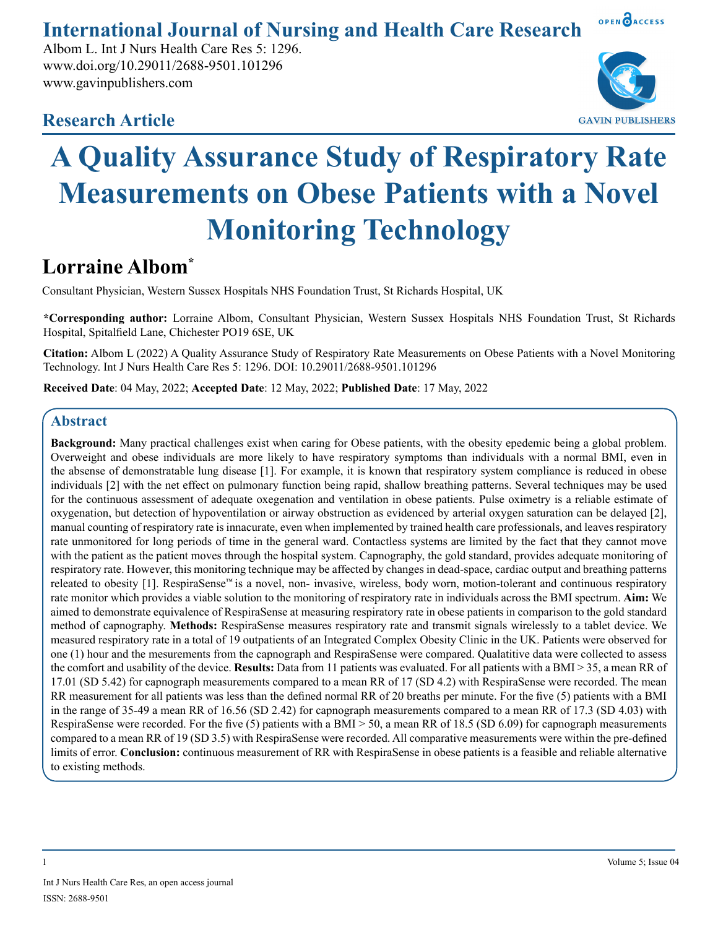**International Journal of Nursing and Health Care Research**

Albom L. Int J Nurs Health Care Res 5: 1296. www.doi.org/10.29011/2688-9501.101296 www.gavinpublishers.com

**GAVIN PUBLISHERS** 

OPEN OACCESS

# **Research Article**

# **A Quality Assurance Study of Respiratory Rate Measurements on Obese Patients with a Novel Monitoring Technology**

# **Lorraine Albom\***

Consultant Physician, Western Sussex Hospitals NHS Foundation Trust, St Richards Hospital, UK

**\*Corresponding author:** Lorraine Albom, Consultant Physician, Western Sussex Hospitals NHS Foundation Trust, St Richards Hospital, Spitalfield Lane, Chichester PO19 6SE, UK

**Citation:** Albom L (2022) A Quality Assurance Study of Respiratory Rate Measurements on Obese Patients with a Novel Monitoring Technology. Int J Nurs Health Care Res 5: 1296. DOI: 10.29011/2688-9501.101296

**Received Date**: 04 May, 2022; **Accepted Date**: 12 May, 2022; **Published Date**: 17 May, 2022

## **Abstract**

**Background:** Many practical challenges exist when caring for Obese patients, with the obesity epedemic being a global problem. Overweight and obese individuals are more likely to have respiratory symptoms than individuals with a normal BMI, even in the absense of demonstratable lung disease [1]. For example, it is known that respiratory system compliance is reduced in obese individuals [2] with the net effect on pulmonary function being rapid, shallow breathing patterns. Several techniques may be used for the continuous assessment of adequate oxegenation and ventilation in obese patients. Pulse oximetry is a reliable estimate of oxygenation, but detection of hypoventilation or airway obstruction as evidenced by arterial oxygen saturation can be delayed [2], manual counting of respiratory rate is innacurate, even when implemented by trained health care professionals, and leaves respiratory rate unmonitored for long periods of time in the general ward. Contactless systems are limited by the fact that they cannot move with the patient as the patient moves through the hospital system. Capnography, the gold standard, provides adequate monitoring of respiratory rate. However, this monitoring technique may be affected by changes in dead-space, cardiac output and breathing patterns releated to obesity [1]. RespiraSense™ is a novel, non- invasive, wireless, body worn, motion-tolerant and continuous respiratory rate monitor which provides a viable solution to the monitoring of respiratory rate in individuals across the BMI spectrum. **Aim:** We aimed to demonstrate equivalence of RespiraSense at measuring respiratory rate in obese patients in comparison to the gold standard method of capnography. **Methods:** RespiraSense measures respiratory rate and transmit signals wirelessly to a tablet device. We measured respiratory rate in a total of 19 outpatients of an Integrated Complex Obesity Clinic in the UK. Patients were observed for one (1) hour and the mesurements from the capnograph and RespiraSense were compared. Qualatitive data were collected to assess the comfort and usability of the device. **Results:** Data from 11 patients was evaluated. For all patients with a BMI > 35, a mean RR of 17.01 (SD 5.42) for capnograph measurements compared to a mean RR of 17 (SD 4.2) with RespiraSense were recorded. The mean RR measurement for all patients was less than the defined normal RR of 20 breaths per minute. For the five (5) patients with a BMI in the range of 35-49 a mean RR of 16.56 (SD 2.42) for capnograph measurements compared to a mean RR of 17.3 (SD 4.03) with RespiraSense were recorded. For the five (5) patients with a BMI > 50, a mean RR of 18.5 (SD 6.09) for capnograph measurements compared to a mean RR of 19 (SD 3.5) with RespiraSense were recorded. All comparative measurements were within the pre-defined limits of error. **Conclusion:** continuous measurement of RR with RespiraSense in obese patients is a feasible and reliable alternative to existing methods.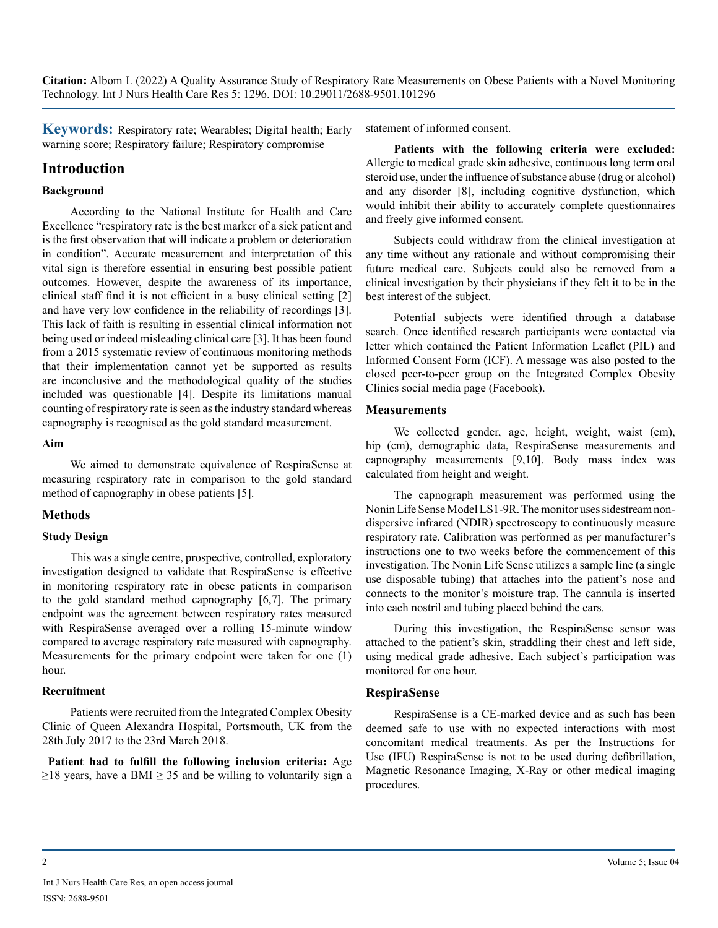**Keywords:** Respiratory rate; Wearables; Digital health; Early warning score; Respiratory failure; Respiratory compromise

### **Introduction**

#### **Background**

According to the National Institute for Health and Care Excellence "respiratory rate is the best marker of a sick patient and is the first observation that will indicate a problem or deterioration in condition". Accurate measurement and interpretation of this vital sign is therefore essential in ensuring best possible patient outcomes. However, despite the awareness of its importance, clinical staff find it is not efficient in a busy clinical setting [2] and have very low confidence in the reliability of recordings [3]. This lack of faith is resulting in essential clinical information not being used or indeed misleading clinical care [3]. It has been found from a 2015 systematic review of continuous monitoring methods that their implementation cannot yet be supported as results are inconclusive and the methodological quality of the studies included was questionable [4]. Despite its limitations manual counting of respiratory rate is seen as the industry standard whereas capnography is recognised as the gold standard measurement.

#### **Aim**

We aimed to demonstrate equivalence of RespiraSense at measuring respiratory rate in comparison to the gold standard method of capnography in obese patients [5].

#### **Methods**

#### **Study Design**

This was a single centre, prospective, controlled, exploratory investigation designed to validate that RespiraSense is effective in monitoring respiratory rate in obese patients in comparison to the gold standard method capnography [6,7]. The primary endpoint was the agreement between respiratory rates measured with RespiraSense averaged over a rolling 15-minute window compared to average respiratory rate measured with capnography. Measurements for the primary endpoint were taken for one (1) hour.

#### **Recruitment**

Patients were recruited from the Integrated Complex Obesity Clinic of Queen Alexandra Hospital, Portsmouth, UK from the 28th July 2017 to the 23rd March 2018.

**Patient had to fulfill the following inclusion criteria:** Age  $\geq$ 18 years, have a BMI  $\geq$  35 and be willing to voluntarily sign a statement of informed consent.

**Patients with the following criteria were excluded:** Allergic to medical grade skin adhesive, continuous long term oral steroid use, under the influence of substance abuse (drug or alcohol) and any disorder [8], including cognitive dysfunction, which would inhibit their ability to accurately complete questionnaires and freely give informed consent.

Subjects could withdraw from the clinical investigation at any time without any rationale and without compromising their future medical care. Subjects could also be removed from a clinical investigation by their physicians if they felt it to be in the best interest of the subject.

Potential subjects were identified through a database search. Once identified research participants were contacted via letter which contained the Patient Information Leaflet (PIL) and Informed Consent Form (ICF). A message was also posted to the closed peer-to-peer group on the Integrated Complex Obesity Clinics social media page (Facebook).

#### **Measurements**

We collected gender, age, height, weight, waist (cm), hip (cm), demographic data, RespiraSense measurements and capnography measurements [9,10]. Body mass index was calculated from height and weight.

The capnograph measurement was performed using the Nonin Life Sense Model LS1-9R. The monitor uses sidestream nondispersive infrared (NDIR) spectroscopy to continuously measure respiratory rate. Calibration was performed as per manufacturer's instructions one to two weeks before the commencement of this investigation. The Nonin Life Sense utilizes a sample line (a single use disposable tubing) that attaches into the patient's nose and connects to the monitor's moisture trap. The cannula is inserted into each nostril and tubing placed behind the ears.

During this investigation, the RespiraSense sensor was attached to the patient's skin, straddling their chest and left side, using medical grade adhesive. Each subject's participation was monitored for one hour.

#### **RespiraSense**

RespiraSense is a CE-marked device and as such has been deemed safe to use with no expected interactions with most concomitant medical treatments. As per the Instructions for Use (IFU) RespiraSense is not to be used during defibrillation, Magnetic Resonance Imaging, X-Ray or other medical imaging procedures.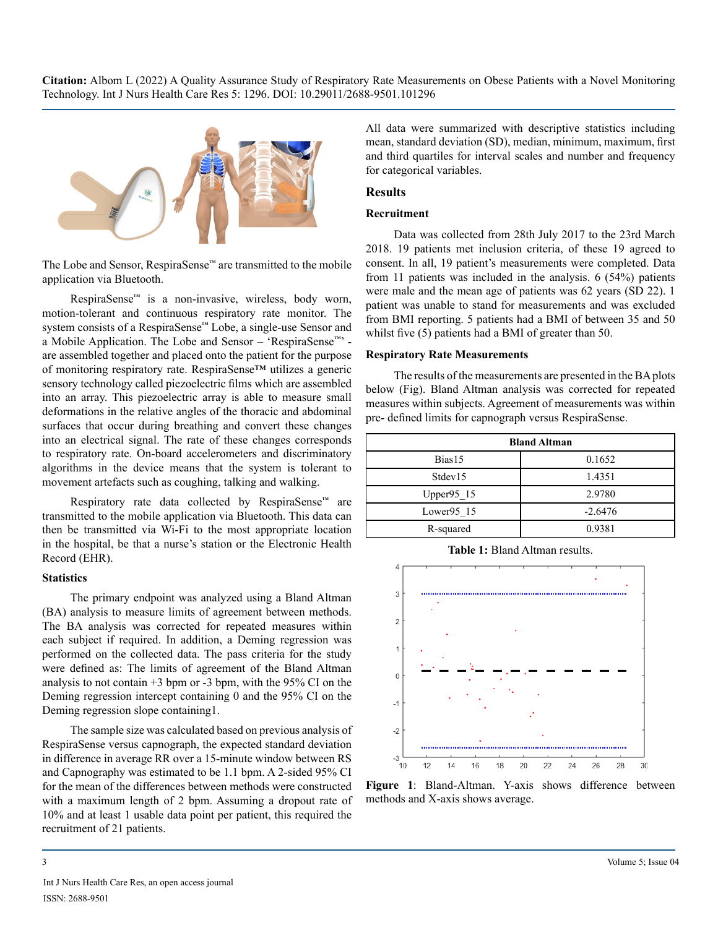

The Lobe and Sensor, RespiraSense™ are transmitted to the mobile application via Bluetooth.

RespiraSense™ is a non-invasive, wireless, body worn, motion-tolerant and continuous respiratory rate monitor. The system consists of a RespiraSense™ Lobe, a single-use Sensor and a Mobile Application. The Lobe and Sensor – 'RespiraSense™' are assembled together and placed onto the patient for the purpose of monitoring respiratory rate. RespiraSense™ utilizes a generic sensory technology called piezoelectric films which are assembled into an array. This piezoelectric array is able to measure small deformations in the relative angles of the thoracic and abdominal surfaces that occur during breathing and convert these changes into an electrical signal. The rate of these changes corresponds to respiratory rate. On-board accelerometers and discriminatory algorithms in the device means that the system is tolerant to movement artefacts such as coughing, talking and walking.

Respiratory rate data collected by RespiraSense™ are transmitted to the mobile application via Bluetooth. This data can then be transmitted via Wi-Fi to the most appropriate location in the hospital, be that a nurse's station or the Electronic Health Record (EHR).

#### **Statistics**

The primary endpoint was analyzed using a Bland Altman (BA) analysis to measure limits of agreement between methods. The BA analysis was corrected for repeated measures within each subject if required. In addition, a Deming regression was performed on the collected data. The pass criteria for the study were defined as: The limits of agreement of the Bland Altman analysis to not contain +3 bpm or -3 bpm, with the 95% CI on the Deming regression intercept containing 0 and the 95% CI on the Deming regression slope containing1.

The sample size was calculated based on previous analysis of RespiraSense versus capnograph, the expected standard deviation in difference in average RR over a 15-minute window between RS and Capnography was estimated to be 1.1 bpm. A 2-sided 95% CI for the mean of the differences between methods were constructed with a maximum length of 2 bpm. Assuming a dropout rate of 10% and at least 1 usable data point per patient, this required the recruitment of 21 patients.

All data were summarized with descriptive statistics including mean, standard deviation (SD), median, minimum, maximum, first and third quartiles for interval scales and number and frequency for categorical variables.

#### **Results**

#### **Recruitment**

Data was collected from 28th July 2017 to the 23rd March 2018. 19 patients met inclusion criteria, of these 19 agreed to consent. In all, 19 patient's measurements were completed. Data from 11 patients was included in the analysis. 6 (54%) patients were male and the mean age of patients was 62 years (SD 22). 1 patient was unable to stand for measurements and was excluded from BMI reporting. 5 patients had a BMI of between 35 and 50 whilst five (5) patients had a BMI of greater than 50.

#### **Respiratory Rate Measurements**

The results of the measurements are presented in the BA plots below (Fig). Bland Altman analysis was corrected for repeated measures within subjects. Agreement of measurements was within pre- defined limits for capnograph versus RespiraSense.

| <b>Bland Altman</b> |           |
|---------------------|-----------|
| Bias15              | 0.1652    |
| Stdev15             | 1.4351    |
| Upper $95 \; 15$    | 2.9780    |
| Lower95 15          | $-2.6476$ |
| R-squared           | 0.9381    |

**Table 1:** Bland Altman results.



**Figure 1**: Bland-Altman. Y-axis shows difference between methods and X-axis shows average.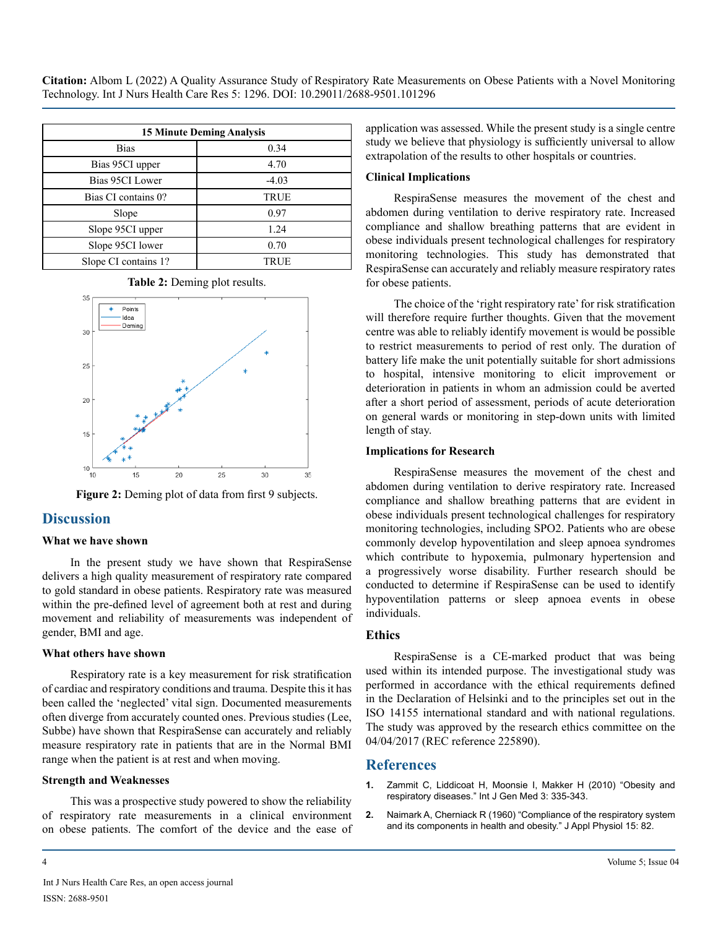| <b>15 Minute Deming Analysis</b> |             |
|----------------------------------|-------------|
| Bias                             | 0.34        |
| Bias 95CI upper                  | 4.70        |
| Bias 95CI Lower                  | $-4.03$     |
| Bias CI contains 0?              | <b>TRUE</b> |
| Slope                            | 0.97        |
| Slope 95CI upper                 | 1.24        |
| Slope 95CI lower                 | 0.70        |
| Slope CI contains 1?             | TRUE        |





Figure 2: Deming plot of data from first 9 subjects.

#### **Discussion**

#### **What we have shown**

In the present study we have shown that RespiraSense delivers a high quality measurement of respiratory rate compared to gold standard in obese patients. Respiratory rate was measured within the pre-defined level of agreement both at rest and during movement and reliability of measurements was independent of gender, BMI and age.

#### **What others have shown**

Respiratory rate is a key measurement for risk stratification of cardiac and respiratory conditions and trauma. Despite this it has been called the 'neglected' vital sign. Documented measurements often diverge from accurately counted ones. Previous studies (Lee, Subbe) have shown that RespiraSense can accurately and reliably measure respiratory rate in patients that are in the Normal BMI range when the patient is at rest and when moving.

#### **Strength and Weaknesses**

This was a prospective study powered to show the reliability of respiratory rate measurements in a clinical environment on obese patients. The comfort of the device and the ease of

#### **Clinical Implications**

RespiraSense measures the movement of the chest and abdomen during ventilation to derive respiratory rate. Increased compliance and shallow breathing patterns that are evident in obese individuals present technological challenges for respiratory monitoring technologies. This study has demonstrated that RespiraSense can accurately and reliably measure respiratory rates for obese patients.

The choice of the 'right respiratory rate' for risk stratification will therefore require further thoughts. Given that the movement centre was able to reliably identify movement is would be possible to restrict measurements to period of rest only. The duration of battery life make the unit potentially suitable for short admissions to hospital, intensive monitoring to elicit improvement or deterioration in patients in whom an admission could be averted after a short period of assessment, periods of acute deterioration on general wards or monitoring in step-down units with limited length of stay.

#### **Implications for Research**

RespiraSense measures the movement of the chest and abdomen during ventilation to derive respiratory rate. Increased compliance and shallow breathing patterns that are evident in obese individuals present technological challenges for respiratory monitoring technologies, including SPO2. Patients who are obese commonly develop hypoventilation and sleep apnoea syndromes which contribute to hypoxemia, pulmonary hypertension and a progressively worse disability. Further research should be conducted to determine if RespiraSense can be used to identify hypoventilation patterns or sleep apnoea events in obese individuals.

#### **Ethics**

RespiraSense is a CE-marked product that was being used within its intended purpose. The investigational study was performed in accordance with the ethical requirements defined in the Declaration of Helsinki and to the principles set out in the ISO 14155 international standard and with national regulations. The study was approved by the research ethics committee on the 04/04/2017 (REC reference 225890).

#### **References**

- **1.** [Zammit C, Liddicoat H, Moonsie I, Makker H \(2010\) "Obesity and](https://pubmed.ncbi.nlm.nih.gov/21116339/) [respiratory diseases." Int J Gen Med 3: 335-343.](https://pubmed.ncbi.nlm.nih.gov/21116339/)
- **2.** [Naimark A, Cherniack R \(1960\) "Compliance of the respiratory system](https://journals.physiology.org/doi/abs/10.1152/jappl.1960.15.3.377)  [and its components in health and obesity." J Appl Physiol 15: 82.](https://journals.physiology.org/doi/abs/10.1152/jappl.1960.15.3.377)